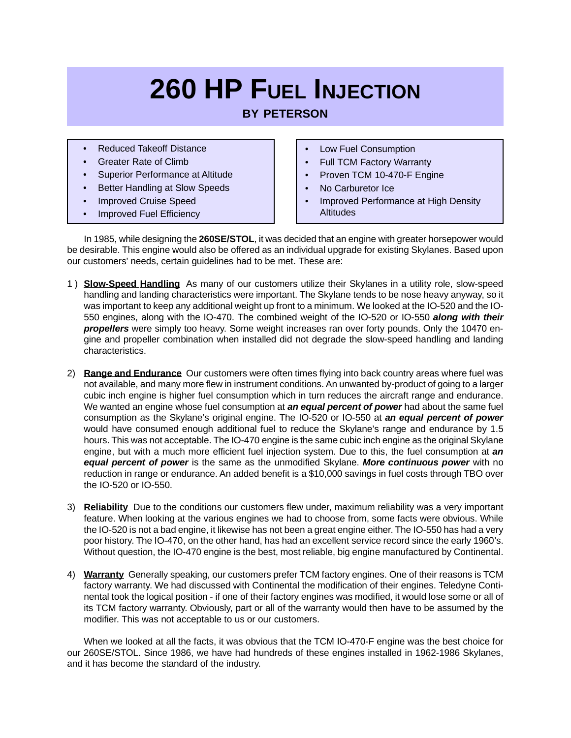# **260 HP FUEL INJECTION**

## **BY PETERSON**

- Reduced Takeoff Distance
- Greater Rate of Climb
- Superior Performance at Altitude
- Better Handling at Slow Speeds
- Improved Cruise Speed
- Improved Fuel Efficiency
- Low Fuel Consumption
- **Full TCM Factory Warranty**
- Proven TCM 10-470-F Engine
- No Carburetor Ice
- Improved Performance at High Density **Altitudes**

In 1985, while designing the **260SE/STOL**, it was decided that an engine with greater horsepower would be desirable. This engine would also be offered as an individual upgrade for existing Skylanes. Based upon our customers' needs, certain guidelines had to be met. These are:

- 1 ) **Slow-Speed Handling** As many of our customers utilize their Skylanes in a utility role, slow-speed handling and landing characteristics were important. The Skylane tends to be nose heavy anyway, so it was important to keep any additional weight up front to a minimum. We looked at the IO-520 and the IO-550 engines, along with the IO-470. The combined weight of the IO-520 or IO-550 **along with their propellers** were simply too heavy. Some weight increases ran over forty pounds. Only the 10470 engine and propeller combination when installed did not degrade the slow-speed handling and landing characteristics.
- 2) **Range and Endurance** Our customers were often times flying into back country areas where fuel was not available, and many more flew in instrument conditions. An unwanted by-product of going to a larger cubic inch engine is higher fuel consumption which in turn reduces the aircraft range and endurance. We wanted an engine whose fuel consumption at **an equal percent of power** had about the same fuel consumption as the Skylane's original engine. The IO-520 or IO-550 at **an equal percent of power** would have consumed enough additional fuel to reduce the Skylane's range and endurance by 1.5 hours. This was not acceptable. The IO-470 engine is the same cubic inch engine as the original Skylane engine, but with a much more efficient fuel injection system. Due to this, the fuel consumption at **an equal percent of power** is the same as the unmodified Skylane. **More continuous power** with no reduction in range or endurance. An added benefit is a \$10,000 savings in fuel costs through TBO over the IO-520 or IO-550.
- 3) **Reliability** Due to the conditions our customers flew under, maximum reliability was a very important feature. When looking at the various engines we had to choose from, some facts were obvious. While the IO-520 is not a bad engine, it likewise has not been a great engine either. The IO-550 has had a very poor history. The IO-470, on the other hand, has had an excellent service record since the early 1960's. Without question, the IO-470 engine is the best, most reliable, big engine manufactured by Continental.
- 4) **Warranty** Generally speaking, our customers prefer TCM factory engines. One of their reasons is TCM factory warranty. We had discussed with Continental the modification of their engines. Teledyne Continental took the logical position - if one of their factory engines was modified, it would lose some or all of its TCM factory warranty. Obviously, part or all of the warranty would then have to be assumed by the modifier. This was not acceptable to us or our customers.

When we looked at all the facts, it was obvious that the TCM IO-470-F engine was the best choice for our 260SE/STOL. Since 1986, we have had hundreds of these engines installed in 1962-1986 Skylanes, and it has become the standard of the industry.